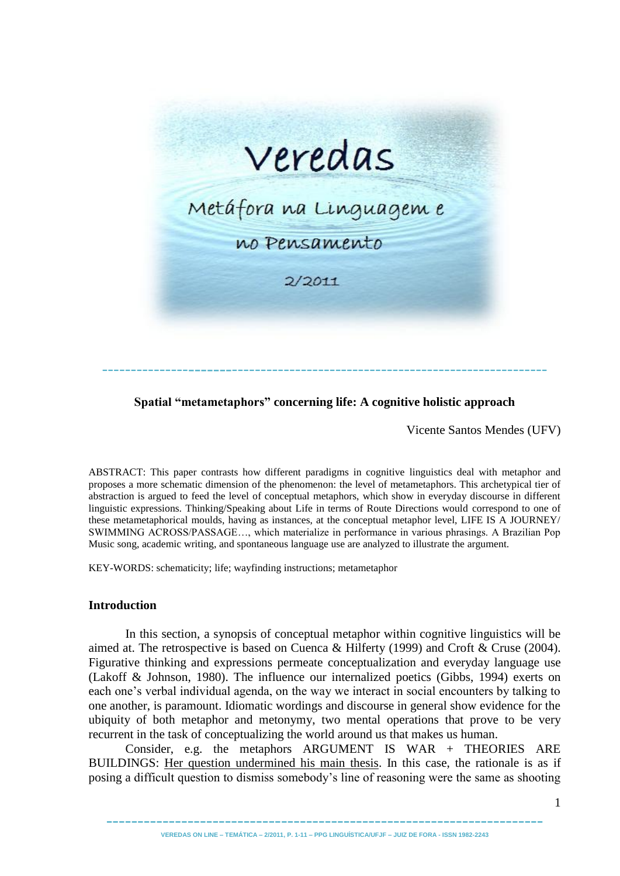

# **Spatial "metametaphors" concerning life: A cognitive holistic approach**

Vicente Santos Mendes (UFV)

ABSTRACT: This paper contrasts how different paradigms in cognitive linguistics deal with metaphor and proposes a more schematic dimension of the phenomenon: the level of metametaphors. This archetypical tier of abstraction is argued to feed the level of conceptual metaphors, which show in everyday discourse in different linguistic expressions. Thinking/Speaking about Life in terms of Route Directions would correspond to one of these metametaphorical moulds, having as instances, at the conceptual metaphor level, LIFE IS A JOURNEY/ SWIMMING ACROSS/PASSAGE…, which materialize in performance in various phrasings. A Brazilian Pop Music song, academic writing, and spontaneous language use are analyzed to illustrate the argument.

KEY-WORDS: schematicity; life; wayfinding instructions; metametaphor

### **Introduction**

In this section, a synopsis of conceptual metaphor within cognitive linguistics will be aimed at. The retrospective is based on Cuenca & Hilferty (1999) and Croft & Cruse (2004). Figurative thinking and expressions permeate conceptualization and everyday language use (Lakoff & Johnson, 1980). The influence our internalized poetics (Gibbs, 1994) exerts on each one's verbal individual agenda, on the way we interact in social encounters by talking to one another, is paramount. Idiomatic wordings and discourse in general show evidence for the ubiquity of both metaphor and metonymy, two mental operations that prove to be very recurrent in the task of conceptualizing the world around us that makes us human.

Consider, e.g. the metaphors ARGUMENT IS WAR + THEORIES ARE BUILDINGS: Her question undermined his main thesis. In this case, the rationale is as if posing a difficult question to dismiss somebody's line of reasoning were the same as shooting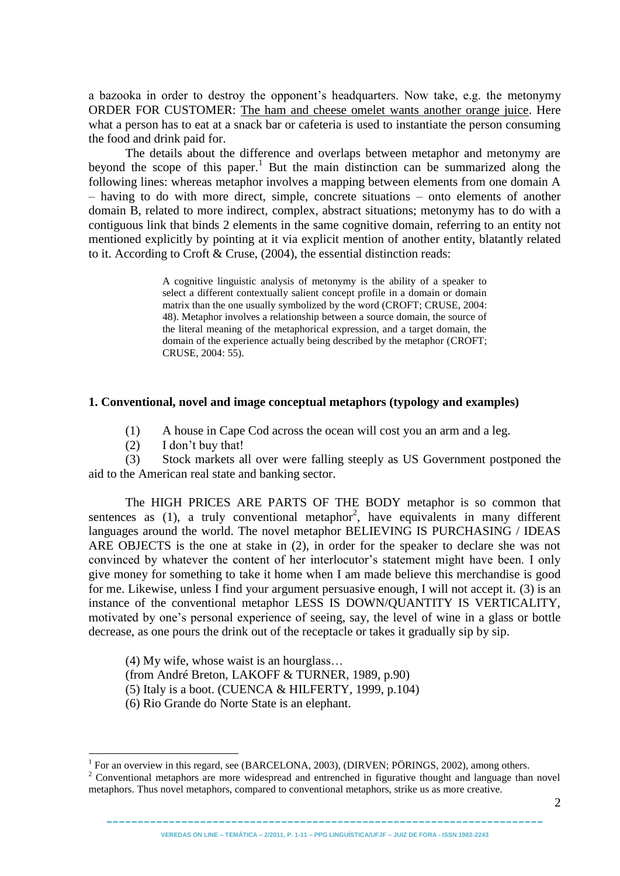a bazooka in order to destroy the opponent's headquarters. Now take, e.g. the metonymy ORDER FOR CUSTOMER: The ham and cheese omelet wants another orange juice. Here what a person has to eat at a snack bar or cafeteria is used to instantiate the person consuming the food and drink paid for.

The details about the difference and overlaps between metaphor and metonymy are beyond the scope of this paper.<sup>1</sup> But the main distinction can be summarized along the following lines: whereas metaphor involves a mapping between elements from one domain A – having to do with more direct, simple, concrete situations – onto elements of another domain B, related to more indirect, complex, abstract situations; metonymy has to do with a contiguous link that binds 2 elements in the same cognitive domain, referring to an entity not mentioned explicitly by pointing at it via explicit mention of another entity, blatantly related to it. According to Croft & Cruse, (2004), the essential distinction reads:

> A cognitive linguistic analysis of metonymy is the ability of a speaker to select a different contextually salient concept profile in a domain or domain matrix than the one usually symbolized by the word (CROFT; CRUSE, 2004: 48). Metaphor involves a relationship between a source domain, the source of the literal meaning of the metaphorical expression, and a target domain, the domain of the experience actually being described by the metaphor (CROFT; CRUSE, 2004: 55).

#### **1. Conventional, novel and image conceptual metaphors (typology and examples)**

- (1) A house in Cape Cod across the ocean will cost you an arm and a leg.
- (2) I don't buy that!

<u>.</u>

(3) Stock markets all over were falling steeply as US Government postponed the aid to the American real state and banking sector.

The HIGH PRICES ARE PARTS OF THE BODY metaphor is so common that sentences as  $(1)$ , a truly conventional metaphor<sup>2</sup>, have equivalents in many different languages around the world. The novel metaphor BELIEVING IS PURCHASING / IDEAS ARE OBJECTS is the one at stake in (2), in order for the speaker to declare she was not convinced by whatever the content of her interlocutor's statement might have been. I only give money for something to take it home when I am made believe this merchandise is good for me. Likewise, unless I find your argument persuasive enough, I will not accept it. (3) is an instance of the conventional metaphor LESS IS DOWN/QUANTITY IS VERTICALITY, motivated by one's personal experience of seeing, say, the level of wine in a glass or bottle decrease, as one pours the drink out of the receptacle or takes it gradually sip by sip.

(4) My wife, whose waist is an hourglass…

(from André Breton, LAKOFF & TURNER, 1989, p.90)

(5) Italy is a boot. (CUENCA  $& HILFERTY$ , 1999, p.104)

(6) Rio Grande do Norte State is an elephant.

---------------------------------------------------------------------- **VEREDAS ON LINE – TEMÁTICA – 2/2011, P. 1-11 – PPG LINGUÍSTICA/UFJF – JUIZ DE FORA - ISSN 1982-2243**

<sup>&</sup>lt;sup>1</sup> For an overview in this regard, see (BARCELONA, 2003), (DIRVEN; PÖRINGS, 2002), among others.

<sup>&</sup>lt;sup>2</sup> Conventional metaphors are more widespread and entrenched in figurative thought and language than novel metaphors. Thus novel metaphors, compared to conventional metaphors, strike us as more creative.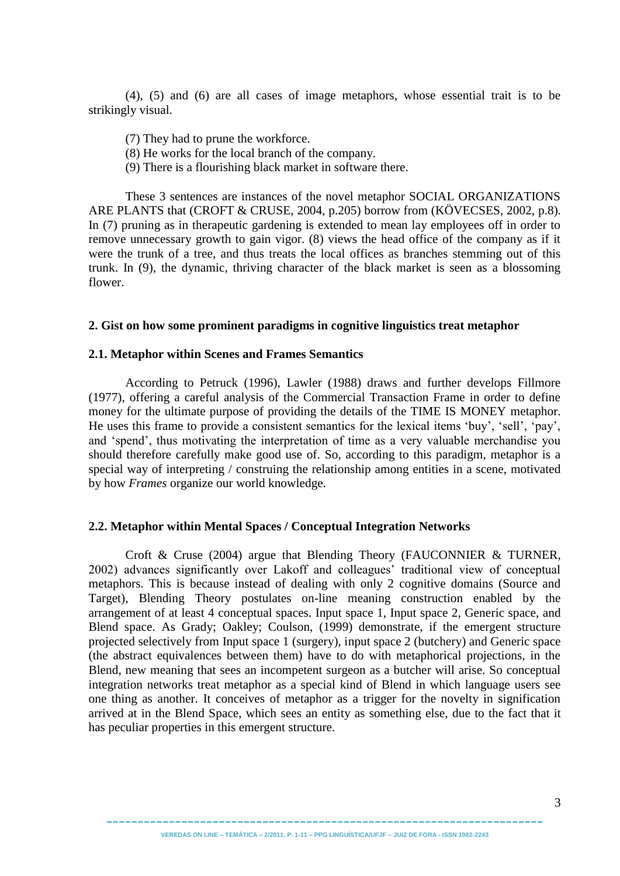(4), (5) and (6) are all cases of image metaphors, whose essential trait is to be strikingly visual.

- (7) They had to prune the workforce.
- (8) He works for the local branch of the company.
- (9) There is a flourishing black market in software there.

These 3 sentences are instances of the novel metaphor SOCIAL ORGANIZATIONS ARE PLANTS that (CROFT & CRUSE, 2004, p.205) borrow from (KÖVECSES, 2002, p.8). In (7) pruning as in therapeutic gardening is extended to mean lay employees off in order to remove unnecessary growth to gain vigor. (8) views the head office of the company as if it were the trunk of a tree, and thus treats the local offices as branches stemming out of this trunk. In (9), the dynamic, thriving character of the black market is seen as a blossoming flower.

#### **2. Gist on how some prominent paradigms in cognitive linguistics treat metaphor**

#### **2.1. Metaphor within Scenes and Frames Semantics**

According to Petruck (1996), Lawler (1988) draws and further develops Fillmore (1977), offering a careful analysis of the Commercial Transaction Frame in order to define money for the ultimate purpose of providing the details of the TIME IS MONEY metaphor. He uses this frame to provide a consistent semantics for the lexical items 'buy', 'sell', 'pay', and 'spend', thus motivating the interpretation of time as a very valuable merchandise you should therefore carefully make good use of. So, according to this paradigm, metaphor is a special way of interpreting / construing the relationship among entities in a scene, motivated by how *Frames* organize our world knowledge.

#### **2.2. Metaphor within Mental Spaces / Conceptual Integration Networks**

Croft & Cruse (2004) argue that Blending Theory (FAUCONNIER & TURNER, 2002) advances significantly over Lakoff and colleagues' traditional view of conceptual metaphors. This is because instead of dealing with only 2 cognitive domains (Source and Target), Blending Theory postulates on-line meaning construction enabled by the arrangement of at least 4 conceptual spaces. Input space 1, Input space 2, Generic space, and Blend space. As Grady; Oakley; Coulson, (1999) demonstrate, if the emergent structure projected selectively from Input space 1 (surgery), input space 2 (butchery) and Generic space (the abstract equivalences between them) have to do with metaphorical projections, in the Blend, new meaning that sees an incompetent surgeon as a butcher will arise. So conceptual integration networks treat metaphor as a special kind of Blend in which language users see one thing as another. It conceives of metaphor as a trigger for the novelty in signification arrived at in the Blend Space, which sees an entity as something else, due to the fact that it has peculiar properties in this emergent structure.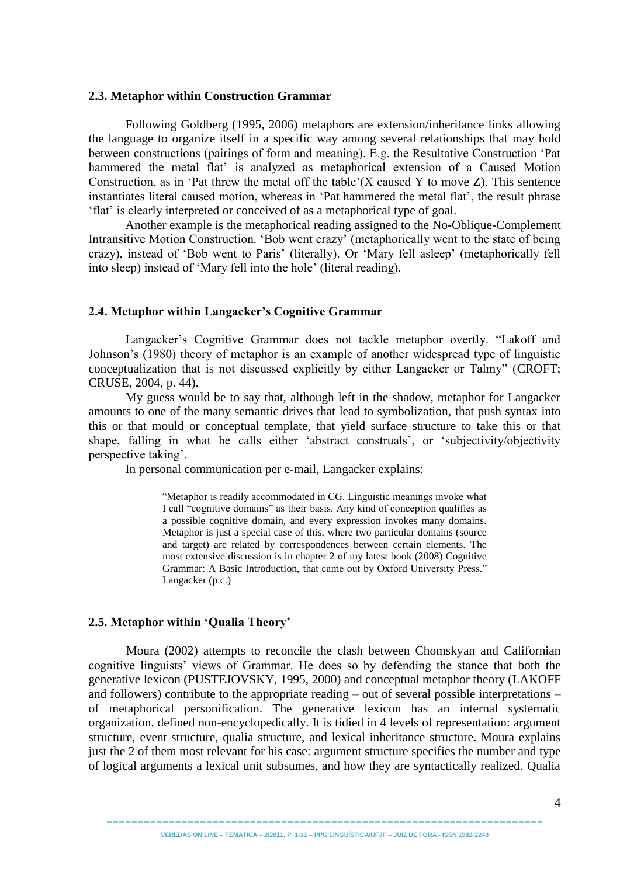#### **2.3. Metaphor within Construction Grammar**

Following Goldberg (1995, 2006) metaphors are extension/inheritance links allowing the language to organize itself in a specific way among several relationships that may hold between constructions (pairings of form and meaning). E.g. the Resultative Construction 'Pat hammered the metal flat' is analyzed as metaphorical extension of a Caused Motion Construction, as in 'Pat threw the metal off the table'( $X$  caused  $Y$  to move  $Z$ ). This sentence instantiates literal caused motion, whereas in 'Pat hammered the metal flat', the result phrase ‗flat' is clearly interpreted or conceived of as a metaphorical type of goal.

Another example is the metaphorical reading assigned to the No-Oblique-Complement Intransitive Motion Construction. 'Bob went crazy' (metaphorically went to the state of being crazy), instead of ‗Bob went to Paris' (literally). Or ‗Mary fell asleep' (metaphorically fell into sleep) instead of 'Mary fell into the hole' (literal reading).

### **2.4. Metaphor within Langacker"s Cognitive Grammar**

Langacker's Cognitive Grammar does not tackle metaphor overtly. "Lakoff and Johnson's (1980) theory of metaphor is an example of another widespread type of linguistic conceptualization that is not discussed explicitly by either Langacker or Talmy" (CROFT; CRUSE, 2004, p. 44).

My guess would be to say that, although left in the shadow, metaphor for Langacker amounts to one of the many semantic drives that lead to symbolization, that push syntax into this or that mould or conceptual template, that yield surface structure to take this or that shape, falling in what he calls either 'abstract construals', or 'subjectivity/objectivity perspective taking'.

In personal communication per e-mail, Langacker explains:

―Metaphor is readily accommodated in CG. Linguistic meanings invoke what I call "cognitive domains" as their basis. Any kind of conception qualifies as a possible cognitive domain, and every expression invokes many domains. Metaphor is just a special case of this, where two particular domains (source and target) are related by correspondences between certain elements. The most extensive discussion is in chapter 2 of my latest book (2008) Cognitive Grammar: A Basic Introduction, that came out by Oxford University Press." Langacker (p.c.)

### **2.5. Metaphor within "Qualia Theory"**

Moura (2002) attempts to reconcile the clash between Chomskyan and Californian cognitive linguists' views of Grammar. He does so by defending the stance that both the generative lexicon (PUSTEJOVSKY, 1995, 2000) and conceptual metaphor theory (LAKOFF and followers) contribute to the appropriate reading – out of several possible interpretations – of metaphorical personification. The generative lexicon has an internal systematic organization, defined non-encyclopedically. It is tidied in 4 levels of representation: argument structure, event structure, qualia structure, and lexical inheritance structure. Moura explains just the 2 of them most relevant for his case: argument structure specifies the number and type of logical arguments a lexical unit subsumes, and how they are syntactically realized. Qualia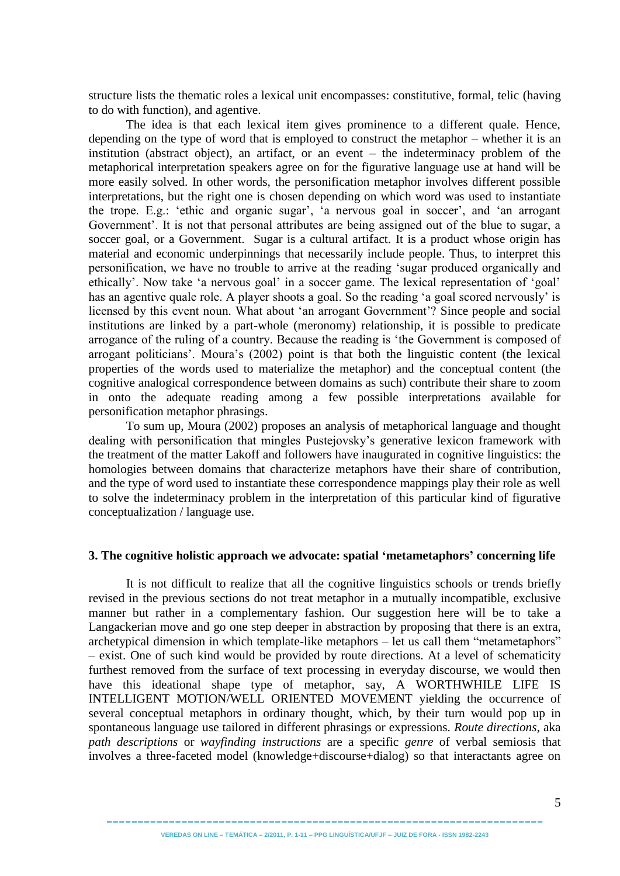structure lists the thematic roles a lexical unit encompasses: constitutive, formal, telic (having to do with function), and agentive.

The idea is that each lexical item gives prominence to a different quale. Hence, depending on the type of word that is employed to construct the metaphor – whether it is an institution (abstract object), an artifact, or an event – the indeterminacy problem of the metaphorical interpretation speakers agree on for the figurative language use at hand will be more easily solved. In other words, the personification metaphor involves different possible interpretations, but the right one is chosen depending on which word was used to instantiate the trope. E.g.: 'ethic and organic sugar', 'a nervous goal in soccer', and 'an arrogant Government'. It is not that personal attributes are being assigned out of the blue to sugar, a soccer goal, or a Government. Sugar is a cultural artifact. It is a product whose origin has material and economic underpinnings that necessarily include people. Thus, to interpret this personification, we have no trouble to arrive at the reading 'sugar produced organically and ethically'. Now take 'a nervous goal' in a soccer game. The lexical representation of 'goal' has an agentive quale role. A player shoots a goal. So the reading 'a goal scored nervously' is licensed by this event noun. What about 'an arrogant Government'? Since people and social institutions are linked by a part-whole (meronomy) relationship, it is possible to predicate arrogance of the ruling of a country. Because the reading is 'the Government is composed of arrogant politicians'. Moura's (2002) point is that both the linguistic content (the lexical properties of the words used to materialize the metaphor) and the conceptual content (the cognitive analogical correspondence between domains as such) contribute their share to zoom in onto the adequate reading among a few possible interpretations available for personification metaphor phrasings.

To sum up, Moura (2002) proposes an analysis of metaphorical language and thought dealing with personification that mingles Pustejovsky's generative lexicon framework with the treatment of the matter Lakoff and followers have inaugurated in cognitive linguistics: the homologies between domains that characterize metaphors have their share of contribution, and the type of word used to instantiate these correspondence mappings play their role as well to solve the indeterminacy problem in the interpretation of this particular kind of figurative conceptualization / language use.

### **3. The cognitive holistic approach we advocate: spatial "metametaphors" concerning life**

It is not difficult to realize that all the cognitive linguistics schools or trends briefly revised in the previous sections do not treat metaphor in a mutually incompatible, exclusive manner but rather in a complementary fashion. Our suggestion here will be to take a Langackerian move and go one step deeper in abstraction by proposing that there is an extra, archetypical dimension in which template-like metaphors – let us call them "metametaphors" – exist. One of such kind would be provided by route directions. At a level of schematicity furthest removed from the surface of text processing in everyday discourse, we would then have this ideational shape type of metaphor, say, A WORTHWHILE LIFE IS INTELLIGENT MOTION/WELL ORIENTED MOVEMENT yielding the occurrence of several conceptual metaphors in ordinary thought, which, by their turn would pop up in spontaneous language use tailored in different phrasings or expressions. *Route directions*, aka *path descriptions* or *wayfinding instructions* are a specific *genre* of verbal semiosis that involves a three-faceted model (knowledge+discourse+dialog) so that interactants agree on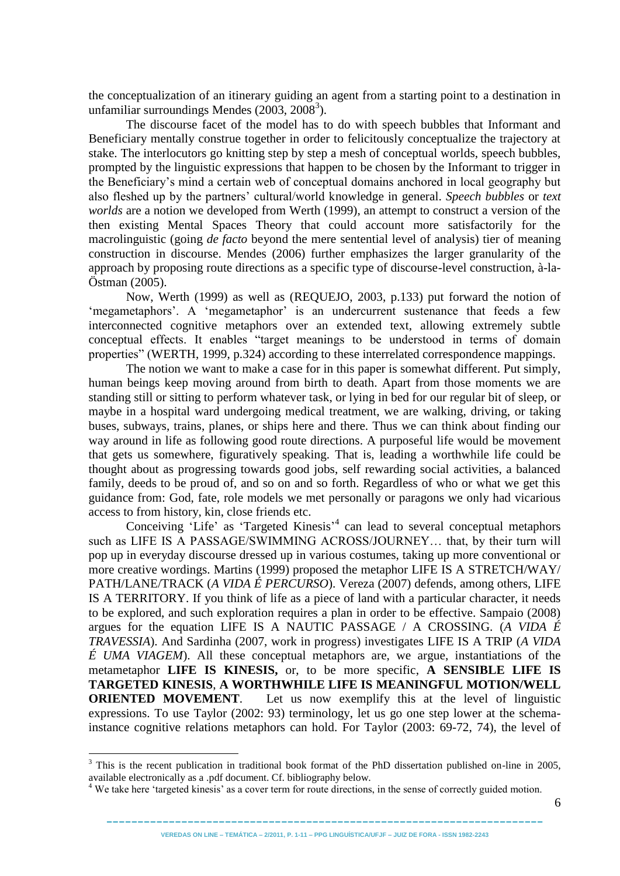the conceptualization of an itinerary guiding an agent from a starting point to a destination in unfamiliar surroundings Mendes  $(2003, 2008<sup>3</sup>)$ .

The discourse facet of the model has to do with speech bubbles that Informant and Beneficiary mentally construe together in order to felicitously conceptualize the trajectory at stake. The interlocutors go knitting step by step a mesh of conceptual worlds, speech bubbles, prompted by the linguistic expressions that happen to be chosen by the Informant to trigger in the Beneficiary's mind a certain web of conceptual domains anchored in local geography but also fleshed up by the partners' cultural/world knowledge in general. *Speech bubbles* or *text worlds* are a notion we developed from Werth (1999), an attempt to construct a version of the then existing Mental Spaces Theory that could account more satisfactorily for the macrolinguistic (going *de facto* beyond the mere sentential level of analysis) tier of meaning construction in discourse. Mendes (2006) further emphasizes the larger granularity of the approach by proposing route directions as a specific type of discourse-level construction, à-la-Östman (2005).

Now, Werth (1999) as well as (REQUEJO, 2003, p.133) put forward the notion of ‗megametaphors'. A ‗megametaphor' is an undercurrent sustenance that feeds a few interconnected cognitive metaphors over an extended text, allowing extremely subtle conceptual effects. It enables "target meanings to be understood in terms of domain properties" (WERTH, 1999, p.324) according to these interrelated correspondence mappings.

The notion we want to make a case for in this paper is somewhat different. Put simply, human beings keep moving around from birth to death. Apart from those moments we are standing still or sitting to perform whatever task, or lying in bed for our regular bit of sleep, or maybe in a hospital ward undergoing medical treatment, we are walking, driving, or taking buses, subways, trains, planes, or ships here and there. Thus we can think about finding our way around in life as following good route directions. A purposeful life would be movement that gets us somewhere, figuratively speaking. That is, leading a worthwhile life could be thought about as progressing towards good jobs, self rewarding social activities, a balanced family, deeds to be proud of, and so on and so forth. Regardless of who or what we get this guidance from: God, fate, role models we met personally or paragons we only had vicarious access to from history, kin, close friends etc.

Conceiving 'Life' as 'Targeted Kinesis'<sup>4</sup> can lead to several conceptual metaphors such as LIFE IS A PASSAGE/SWIMMING ACROSS/JOURNEY… that, by their turn will pop up in everyday discourse dressed up in various costumes, taking up more conventional or more creative wordings. Martins (1999) proposed the metaphor LIFE IS A STRETCH/WAY/ PATH/LANE/TRACK (*A VIDA É PERCURSO*). Vereza (2007) defends, among others, LIFE IS A TERRITORY. If you think of life as a piece of land with a particular character, it needs to be explored, and such exploration requires a plan in order to be effective. Sampaio (2008) argues for the equation LIFE IS A NAUTIC PASSAGE / A CROSSING. (*A VIDA É TRAVESSIA*). And Sardinha (2007, work in progress) investigates LIFE IS A TRIP (*A VIDA É UMA VIAGEM*). All these conceptual metaphors are, we argue, instantiations of the metametaphor **LIFE IS KINESIS,** or, to be more specific, **A SENSIBLE LIFE IS TARGETED KINESIS**, **A WORTHWHILE LIFE IS MEANINGFUL MOTION/WELL ORIENTED MOVEMENT**. Let us now exemplify this at the level of linguistic expressions. To use Taylor (2002: 93) terminology, let us go one step lower at the schemainstance cognitive relations metaphors can hold. For Taylor (2003: 69-72, 74), the level of

<u>.</u>

<sup>&</sup>lt;sup>3</sup> This is the recent publication in traditional book format of the PhD dissertation published on-line in 2005, available electronically as a .pdf document. Cf. bibliography below.

<sup>&</sup>lt;sup>4</sup> We take here 'targeted kinesis' as a cover term for route directions, in the sense of correctly guided motion.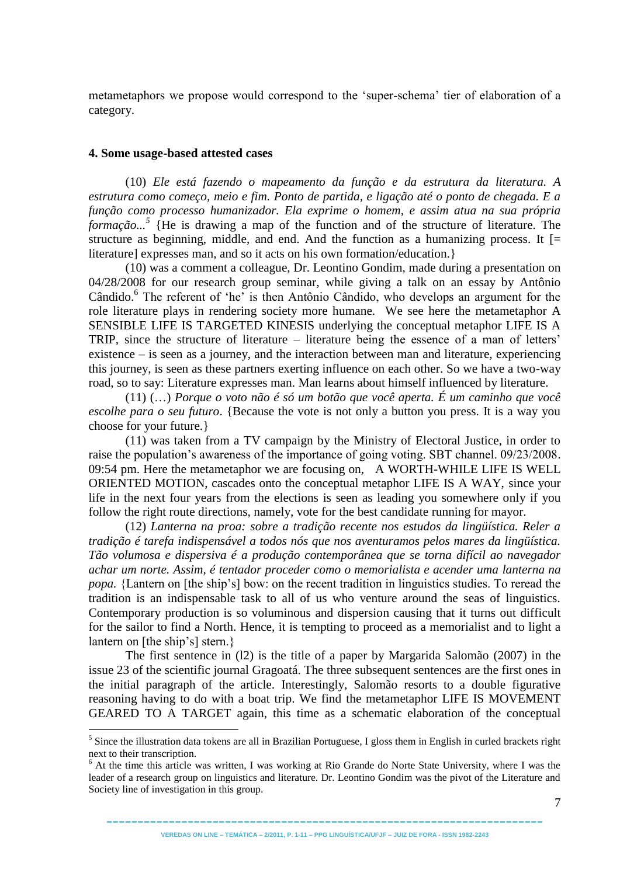metametaphors we propose would correspond to the 'super-schema' tier of elaboration of a category.

#### **4. Some usage-based attested cases**

1

(10) *Ele está fazendo o mapeamento da função e da estrutura da literatura. A estrutura como começo, meio e fim. Ponto de partida, e ligação até o ponto de chegada. E a função como processo humanizador. Ela exprime o homem, e assim atua na sua própria formação...<sup>5</sup>* {He is drawing a map of the function and of the structure of literature. The structure as beginning, middle, and end. And the function as a humanizing process. It  $\equiv$ literature] expresses man, and so it acts on his own formation/education.}

(10) was a comment a colleague, Dr. Leontino Gondim, made during a presentation on 04/28/2008 for our research group seminar, while giving a talk on an essay by Antônio Cândido.<sup>6</sup> The referent of 'he' is then Antônio Cândido, who develops an argument for the role literature plays in rendering society more humane. We see here the metametaphor A SENSIBLE LIFE IS TARGETED KINESIS underlying the conceptual metaphor LIFE IS A TRIP, since the structure of literature – literature being the essence of a man of letters' existence – is seen as a journey, and the interaction between man and literature, experiencing this journey, is seen as these partners exerting influence on each other. So we have a two-way road, so to say: Literature expresses man. Man learns about himself influenced by literature.

(11) (…) *Porque o voto não é só um botão que você aperta. É um caminho que você escolhe para o seu futuro*. {Because the vote is not only a button you press. It is a way you choose for your future.}

(11) was taken from a TV campaign by the Ministry of Electoral Justice, in order to raise the population's awareness of the importance of going voting. SBT channel. 09/23/2008. 09:54 pm. Here the metametaphor we are focusing on, A WORTH-WHILE LIFE IS WELL ORIENTED MOTION, cascades onto the conceptual metaphor LIFE IS A WAY, since your life in the next four years from the elections is seen as leading you somewhere only if you follow the right route directions, namely, vote for the best candidate running for mayor.

(12) *Lanterna na proa: sobre a tradição recente nos estudos da lingüística. Reler a tradição é tarefa indispensável a todos nós que nos aventuramos pelos mares da lingüística. Tão volumosa e dispersiva é a produção contemporânea que se torna difícil ao navegador achar um norte. Assim, é tentador proceder como o memorialista e acender uma lanterna na popa.* {Lantern on [the ship's] bow: on the recent tradition in linguistics studies. To reread the tradition is an indispensable task to all of us who venture around the seas of linguistics. Contemporary production is so voluminous and dispersion causing that it turns out difficult for the sailor to find a North. Hence, it is tempting to proceed as a memorialist and to light a lantern on [the ship's] stern.}

The first sentence in (l2) is the title of a paper by Margarida Salomão (2007) in the issue 23 of the scientific journal Gragoatá. The three subsequent sentences are the first ones in the initial paragraph of the article. Interestingly, Salomão resorts to a double figurative reasoning having to do with a boat trip. We find the metametaphor LIFE IS MOVEMENT GEARED TO A TARGET again, this time as a schematic elaboration of the conceptual

---------------------------------------------------------------------- **VEREDAS ON LINE – TEMÁTICA – 2/2011, P. 1-11 – PPG LINGUÍSTICA/UFJF – JUIZ DE FORA - ISSN 1982-2243**

 $<sup>5</sup>$  Since the illustration data tokens are all in Brazilian Portuguese, I gloss them in English in curled brackets right</sup> next to their transcription.

 $6$  At the time this article was written, I was working at Rio Grande do Norte State University, where I was the leader of a research group on linguistics and literature. Dr. Leontino Gondim was the pivot of the Literature and Society line of investigation in this group.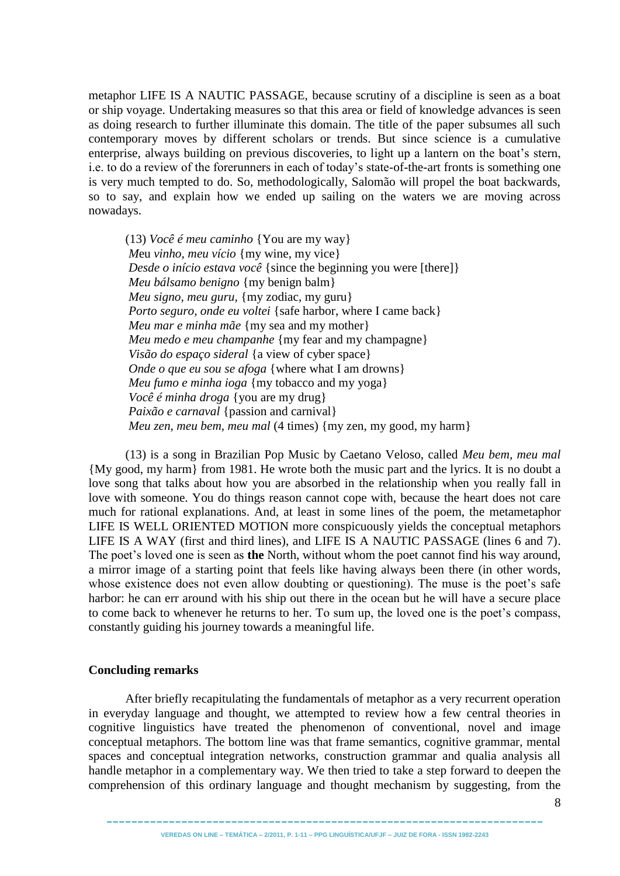metaphor LIFE IS A NAUTIC PASSAGE, because scrutiny of a discipline is seen as a boat or ship voyage. Undertaking measures so that this area or field of knowledge advances is seen as doing research to further illuminate this domain. The title of the paper subsumes all such contemporary moves by different scholars or trends. But since science is a cumulative enterprise, always building on previous discoveries, to light up a lantern on the boat's stern, i.e. to do a review of the forerunners in each of today's state-of-the-art fronts is something one is very much tempted to do. So, methodologically, Salomão will propel the boat backwards, so to say, and explain how we ended up sailing on the waters we are moving across nowadays.

(13) *Você é meu caminho* {You are my way} *M*eu *vinho, meu vício* {my wine, my vice} *Desde o início estava você* { since the beginning you were [there] } *Meu bálsamo benigno* {my benign balm} *Meu signo, meu guru,* {my zodiac, my guru} *Porto seguro, onde eu voltei* { safe harbor, where I came back } *Meu mar e minha mãe* {my sea and my mother} *Meu medo e meu champanhe* {my fear and my champagne} *Visão do espaço sideral* {a view of cyber space} *Onde o que eu sou se afoga* {where what I am drowns} *Meu fumo e minha ioga* {my tobacco and my yoga} *Você é minha droga* {you are my drug} *Paixão e carnaval* {passion and carnival} *Meu zen, meu bem, meu mal* (4 times) {my zen, my good, my harm}

(13) is a song in Brazilian Pop Music by Caetano Veloso, called *Meu bem, meu mal* {My good, my harm} from 1981. He wrote both the music part and the lyrics. It is no doubt a love song that talks about how you are absorbed in the relationship when you really fall in love with someone. You do things reason cannot cope with, because the heart does not care much for rational explanations. And, at least in some lines of the poem, the metametaphor LIFE IS WELL ORIENTED MOTION more conspicuously yields the conceptual metaphors LIFE IS A WAY (first and third lines), and LIFE IS A NAUTIC PASSAGE (lines 6 and 7). The poet's loved one is seen as **the** North, without whom the poet cannot find his way around, a mirror image of a starting point that feels like having always been there (in other words, whose existence does not even allow doubting or questioning). The muse is the poet's safe harbor: he can err around with his ship out there in the ocean but he will have a secure place to come back to whenever he returns to her. To sum up, the loved one is the poet's compass, constantly guiding his journey towards a meaningful life.

### **Concluding remarks**

After briefly recapitulating the fundamentals of metaphor as a very recurrent operation in everyday language and thought, we attempted to review how a few central theories in cognitive linguistics have treated the phenomenon of conventional, novel and image conceptual metaphors. The bottom line was that frame semantics, cognitive grammar, mental spaces and conceptual integration networks, construction grammar and qualia analysis all handle metaphor in a complementary way. We then tried to take a step forward to deepen the comprehension of this ordinary language and thought mechanism by suggesting, from the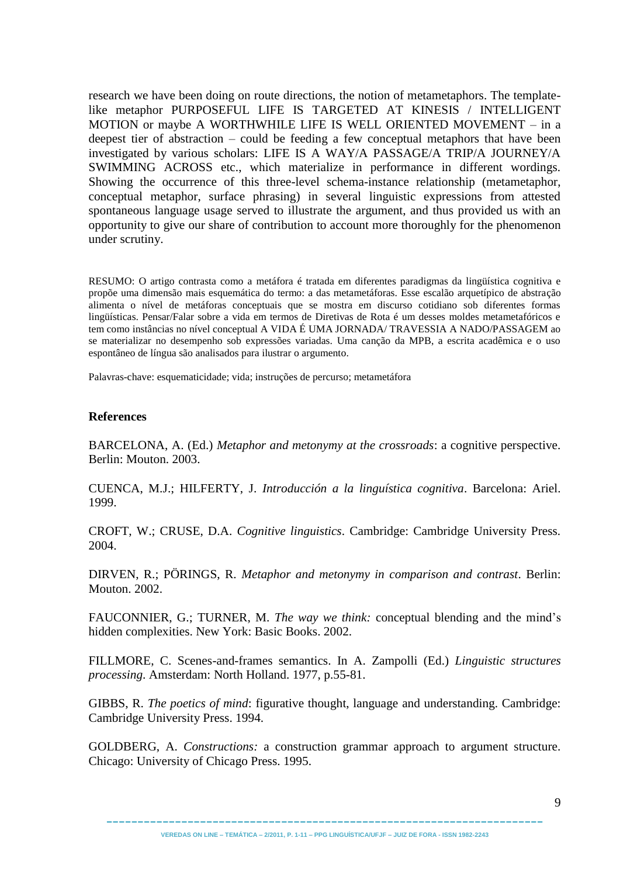research we have been doing on route directions, the notion of metametaphors. The templatelike metaphor PURPOSEFUL LIFE IS TARGETED AT KINESIS / INTELLIGENT MOTION or maybe A WORTHWHILE LIFE IS WELL ORIENTED MOVEMENT – in a deepest tier of abstraction – could be feeding a few conceptual metaphors that have been investigated by various scholars: LIFE IS A WAY/A PASSAGE/A TRIP/A JOURNEY/A SWIMMING ACROSS etc., which materialize in performance in different wordings. Showing the occurrence of this three-level schema-instance relationship (metametaphor, conceptual metaphor, surface phrasing) in several linguistic expressions from attested spontaneous language usage served to illustrate the argument, and thus provided us with an opportunity to give our share of contribution to account more thoroughly for the phenomenon under scrutiny.

RESUMO: O artigo contrasta como a metáfora é tratada em diferentes paradigmas da lingüística cognitiva e propõe uma dimensão mais esquemática do termo: a das metametáforas. Esse escalão arquetípico de abstração alimenta o nível de metáforas conceptuais que se mostra em discurso cotidiano sob diferentes formas lingüísticas. Pensar/Falar sobre a vida em termos de Diretivas de Rota é um desses moldes metametafóricos e tem como instâncias no nível conceptual A VIDA É UMA JORNADA/ TRAVESSIA A NADO/PASSAGEM ao se materializar no desempenho sob expressões variadas. Uma canção da MPB, a escrita acadêmica e o uso espontâneo de língua são analisados para ilustrar o argumento.

Palavras-chave: esquematicidade; vida; instruções de percurso; metametáfora

## **References**

BARCELONA, A. (Ed.) *Metaphor and metonymy at the crossroads*: a cognitive perspective. Berlin: Mouton. 2003.

CUENCA, M.J.; HILFERTY, J. *Introducción a la linguística cognitiva*. Barcelona: Ariel. 1999.

CROFT, W.; CRUSE, D.A. *Cognitive linguistics*. Cambridge: Cambridge University Press. 2004.

DIRVEN, R.; PÖRINGS, R. *Metaphor and metonymy in comparison and contrast*. Berlin: Mouton. 2002.

FAUCONNIER, G.; TURNER, M. *The way we think:* conceptual blending and the mind's hidden complexities. New York: Basic Books. 2002.

FILLMORE, C. Scenes-and-frames semantics. In A. Zampolli (Ed.) *Linguistic structures processing*. Amsterdam: North Holland. 1977, p.55-81.

GIBBS, R. *The poetics of mind*: figurative thought, language and understanding. Cambridge: Cambridge University Press. 1994.

GOLDBERG, A. *Constructions:* a construction grammar approach to argument structure. Chicago: University of Chicago Press. 1995.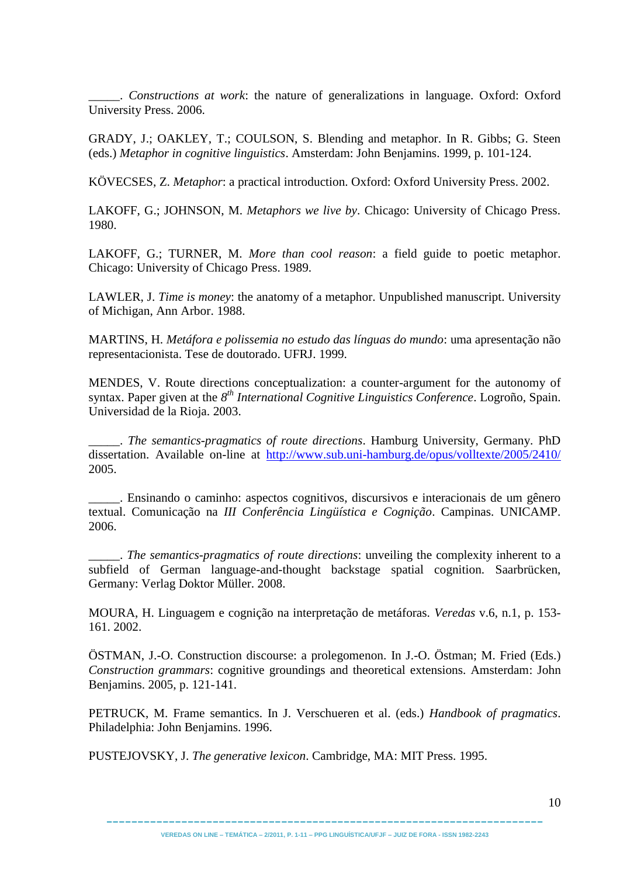\_\_\_\_\_. *Constructions at work*: the nature of generalizations in language. Oxford: Oxford University Press. 2006.

GRADY, J.; OAKLEY, T.; COULSON, S. Blending and metaphor. In R. Gibbs; G. Steen (eds.) *Metaphor in cognitive linguistics*. Amsterdam: John Benjamins. 1999, p. 101-124.

KÖVECSES, Z. *Metaphor*: a practical introduction. Oxford: Oxford University Press. 2002.

LAKOFF, G.; JOHNSON, M. *Metaphors we live by*. Chicago: University of Chicago Press. 1980.

LAKOFF, G.; TURNER, M. *More than cool reason*: a field guide to poetic metaphor. Chicago: University of Chicago Press. 1989.

LAWLER, J. *Time is money*: the anatomy of a metaphor. Unpublished manuscript. University of Michigan, Ann Arbor. 1988.

MARTINS, H. *Metáfora e polissemia no estudo das línguas do mundo*: uma apresentação não representacionista. Tese de doutorado. UFRJ. 1999.

MENDES, V. Route directions conceptualization: a counter-argument for the autonomy of syntax. Paper given at the 8<sup>th</sup> International Cognitive Linguistics Conference. Logroño, Spain. Universidad de la Rioja. 2003.

\_\_\_\_\_. *The semantics-pragmatics of route directions*. Hamburg University, Germany. PhD dissertation. Available on-line at <http://www.sub.uni-hamburg.de/opus/volltexte/2005/2410/> 2005.

\_\_\_\_\_. Ensinando o caminho: aspectos cognitivos, discursivos e interacionais de um gênero textual. Comunicação na *III Conferência Lingüística e Cognição*. Campinas. UNICAMP. 2006.

\_\_\_\_\_. *The semantics-pragmatics of route directions*: unveiling the complexity inherent to a subfield of German language-and-thought backstage spatial cognition. Saarbrücken, Germany: Verlag Doktor Müller. 2008.

MOURA, H. Linguagem e cognição na interpretação de metáforas. *Veredas* v.6, n.1, p. 153- 161. 2002.

ÖSTMAN, J.-O. Construction discourse: a prolegomenon. In J.-O. Östman; M. Fried (Eds.) *Construction grammars*: cognitive groundings and theoretical extensions. Amsterdam: John Benjamins. 2005, p. 121-141.

PETRUCK, M. Frame semantics. In J. Verschueren et al. (eds.) *Handbook of pragmatics*. Philadelphia: John Benjamins. 1996.

PUSTEJOVSKY, J. *The generative lexicon*. Cambridge, MA: MIT Press. 1995.